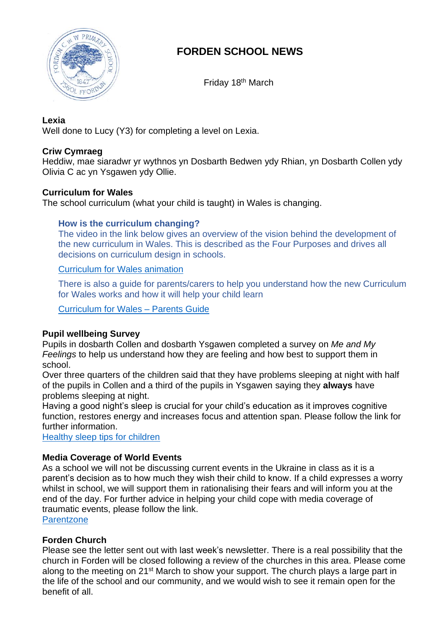

# **FORDEN SCHOOL NEWS**

Friday 18<sup>th</sup> March

#### **Lexia**

Well done to Lucy (Y3) for completing a level on Lexia.

# **Criw Cymraeg**

Heddiw, mae siaradwr yr wythnos yn Dosbarth Bedwen ydy Rhian, yn Dosbarth Collen ydy Olivia C ac yn Ysgawen ydy Ollie.

# **Curriculum for Wales**

The school curriculum (what your child is taught) in Wales is changing.

### **How is the curriculum changing?**

The video in the link below gives an overview of the vision behind the development of the new curriculum in Wales. This is described as the Four Purposes and drives all decisions on curriculum design in schools.

[Curriculum for Wales animation](https://www.youtube.com/watch?v=Am1wg46OsCE)

There is also a guide for parents/carers to help you understand how the new Curriculum for Wales works and how it will help your child learn

[Curriculum for Wales –](https://hwb.gov.wales/api/storage/4e66c555-73aa-44ee-93e5-1e612906f1d2/220208-parents-carers.pdf) Parents Guide

### **Pupil wellbeing Survey**

Pupils in dosbarth Collen and dosbarth Ysgawen completed a survey on *Me and My Feelings* to help us understand how they are feeling and how best to support them in school.

Over three quarters of the children said that they have problems sleeping at night with half of the pupils in Collen and a third of the pupils in Ysgawen saying they **always** have problems sleeping at night.

Having a good night's sleep is crucial for your child's education as it improves cognitive function, restores energy and increases focus and attention span. Please follow the link for further information.

[Healthy sleep tips for children](https://www.nhs.uk/live-well/sleep-and-tiredness/healthy-sleep-tips-for-children/)

### **Media Coverage of World Events**

As a school we will not be discussing current events in the Ukraine in class as it is a parent's decision as to how much they wish their child to know. If a child expresses a worry whilst in school, we will support them in rationalising their fears and will inform you at the end of the day. For further advice in helping your child cope with media coverage of traumatic events, please follow the link.

**[Parentzone](https://www.parents.parentzone.org.uk/morearticles/helping-your-child-cope-with-media-coverage-of-traumatic-events)** 

### **Forden Church**

Please see the letter sent out with last week's newsletter. There is a real possibility that the church in Forden will be closed following a review of the churches in this area. Please come along to the meeting on 21<sup>st</sup> March to show your support. The church plays a large part in the life of the school and our community, and we would wish to see it remain open for the benefit of all.